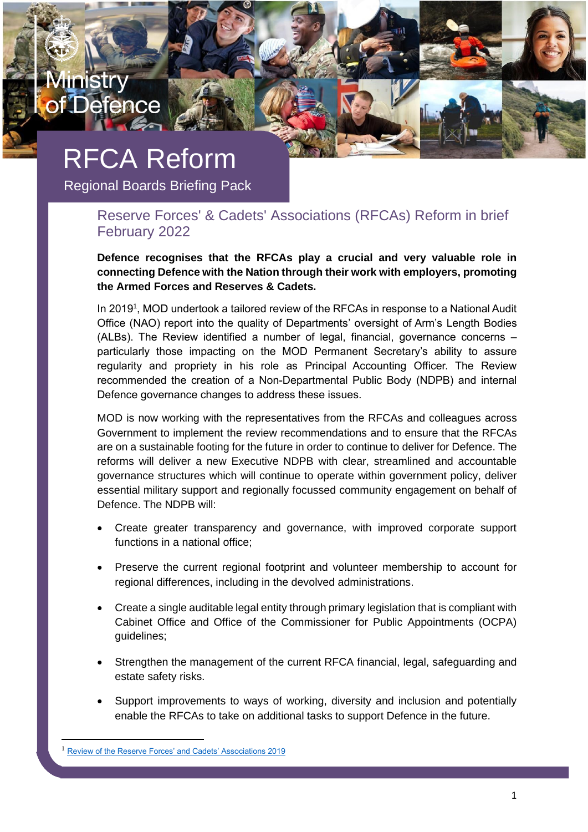# RFCA Reform

mıstr

**Defence** 

Regional Boards Briefing Pack

## Reserve Forces' & Cadets' Associations (RFCAs) Reform in brief February 2022

**Defence recognises that the RFCAs play a crucial and very valuable role in connecting Defence with the Nation through their work with employers, promoting the Armed Forces and Reserves & Cadets.**

In 2019<sup>1</sup>, MOD undertook a tailored review of the RFCAs in response to a National Audit Office (NAO) report into the quality of Departments' oversight of Arm's Length Bodies (ALBs). The Review identified a number of legal, financial, governance concerns – particularly those impacting on the MOD Permanent Secretary's ability to assure regularity and propriety in his role as Principal Accounting Officer. The Review recommended the creation of a Non-Departmental Public Body (NDPB) and internal Defence governance changes to address these issues.

MOD is now working with the representatives from the RFCAs and colleagues across Government to implement the review recommendations and to ensure that the RFCAs are on a sustainable footing for the future in order to continue to deliver for Defence. The reforms will deliver a new Executive NDPB with clear, streamlined and accountable governance structures which will continue to operate within government policy, deliver essential military support and regionally focussed community engagement on behalf of Defence. The NDPB will:

- Create greater transparency and governance, with improved corporate support functions in a national office;
- Preserve the current regional footprint and volunteer membership to account for regional differences, including in the devolved administrations.
- Create a single auditable legal entity through primary legislation that is compliant with Cabinet Office and Office of the Commissioner for Public Appointments (OCPA) guidelines;
- Strengthen the management of the current RFCA financial, legal, safeguarding and estate safety risks.
- Support improvements to ways of working, diversity and inclusion and potentially enable the RFCAs to take on additional tasks to support Defence in the future.

[Review of the Reserve Forces' and Cadets' Associations 2019](https://www.gov.uk/government/publications/review-of-the-reserve-forces-cadets-associations-2019)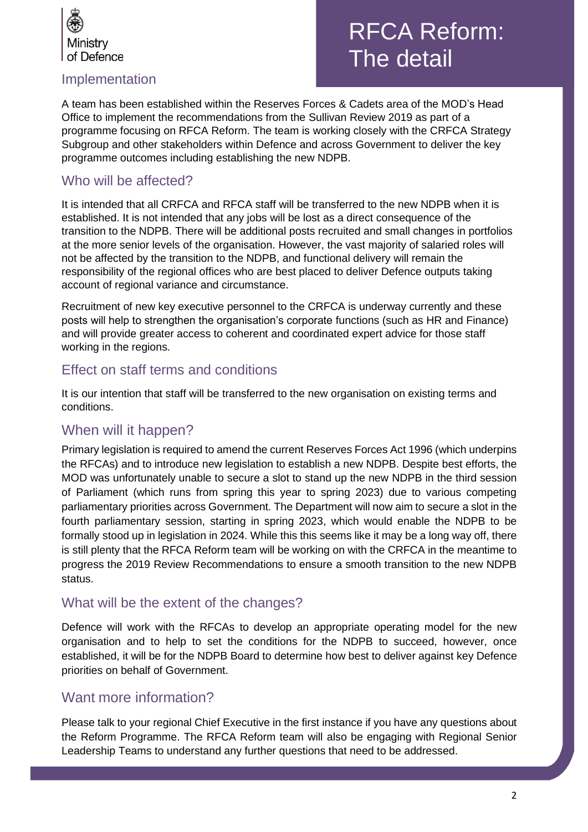

## Implementation

## RFCA Reform: The detail

A team has been established within the Reserves Forces & Cadets area of the MOD's Head Office to implement the recommendations from the Sullivan Review 2019 as part of a programme focusing on RFCA Reform. The team is working closely with the CRFCA Strategy Subgroup and other stakeholders within Defence and across Government to deliver the key programme outcomes including establishing the new NDPB.

## Who will be affected?

It is intended that all CRFCA and RFCA staff will be transferred to the new NDPB when it is established. It is not intended that any jobs will be lost as a direct consequence of the transition to the NDPB. There will be additional posts recruited and small changes in portfolios at the more senior levels of the organisation. However, the vast majority of salaried roles will not be affected by the transition to the NDPB, and functional delivery will remain the responsibility of the regional offices who are best placed to deliver Defence outputs taking account of regional variance and circumstance.

Recruitment of new key executive personnel to the CRFCA is underway currently and these posts will help to strengthen the organisation's corporate functions (such as HR and Finance) and will provide greater access to coherent and coordinated expert advice for those staff working in the regions.

## Effect on staff terms and conditions

It is our intention that staff will be transferred to the new organisation on existing terms and conditions.

## When will it happen?

Primary legislation is required to amend the current Reserves Forces Act 1996 (which underpins the RFCAs) and to introduce new legislation to establish a new NDPB. Despite best efforts, the MOD was unfortunately unable to secure a slot to stand up the new NDPB in the third session of Parliament (which runs from spring this year to spring 2023) due to various competing parliamentary priorities across Government. The Department will now aim to secure a slot in the fourth parliamentary session, starting in spring 2023, which would enable the NDPB to be formally stood up in legislation in 2024. While this this seems like it may be a long way off, there is still plenty that the RFCA Reform team will be working on with the CRFCA in the meantime to progress the 2019 Review Recommendations to ensure a smooth transition to the new NDPB status.

## What will be the extent of the changes?

Defence will work with the RFCAs to develop an appropriate operating model for the new organisation and to help to set the conditions for the NDPB to succeed, however, once established, it will be for the NDPB Board to determine how best to deliver against key Defence priorities on behalf of Government.

## Want more information?

Please talk to your regional Chief Executive in the first instance if you have any questions about the Reform Programme. The RFCA Reform team will also be engaging with Regional Senior Leadership Teams to understand any further questions that need to be addressed.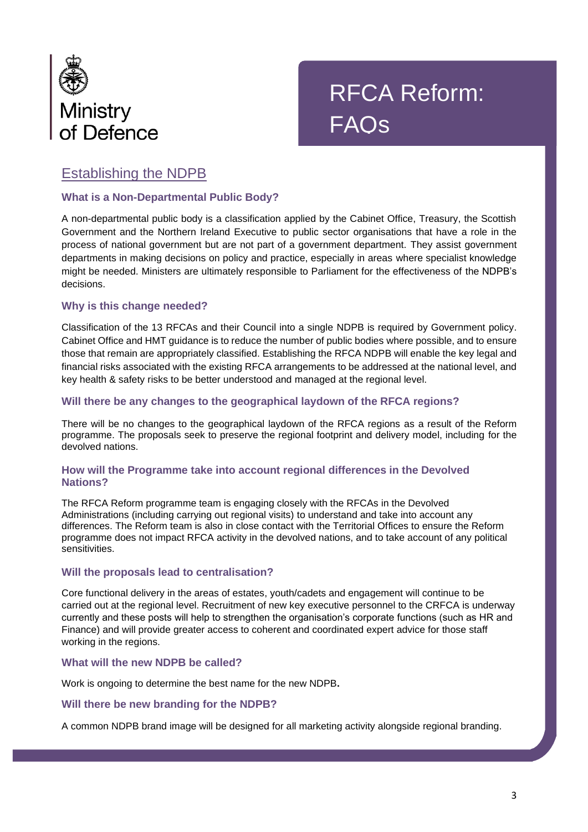

## RFCA Reform: FAQs

## Establishing the NDPB

#### **What is a Non-Departmental Public Body?**

A non-departmental public body is a classification applied by the Cabinet Office, Treasury, the Scottish Government and the Northern Ireland Executive to public sector organisations that have a role in the process of national government but are not part of a government department. They assist government departments in making decisions on policy and practice, especially in areas where specialist knowledge might be needed. Ministers are ultimately responsible to Parliament for the effectiveness of the NDPB's decisions.

#### **Why is this change needed?**

Classification of the 13 RFCAs and their Council into a single NDPB is required by Government policy. Cabinet Office and HMT guidance is to reduce the number of public bodies where possible, and to ensure those that remain are appropriately classified. Establishing the RFCA NDPB will enable the key legal and financial risks associated with the existing RFCA arrangements to be addressed at the national level, and key health & safety risks to be better understood and managed at the regional level.

#### **Will there be any changes to the geographical laydown of the RFCA regions?**

There will be no changes to the geographical laydown of the RFCA regions as a result of the Reform programme. The proposals seek to preserve the regional footprint and delivery model, including for the devolved nations.

#### **How will the Programme take into account regional differences in the Devolved Nations?**

The RFCA Reform programme team is engaging closely with the RFCAs in the Devolved Administrations (including carrying out regional visits) to understand and take into account any differences. The Reform team is also in close contact with the Territorial Offices to ensure the Reform programme does not impact RFCA activity in the devolved nations, and to take account of any political sensitivities.

#### **Will the proposals lead to centralisation?**

Core functional delivery in the areas of estates, youth/cadets and engagement will continue to be carried out at the regional level. Recruitment of new key executive personnel to the CRFCA is underway currently and these posts will help to strengthen the organisation's corporate functions (such as HR and Finance) and will provide greater access to coherent and coordinated expert advice for those staff working in the regions.

#### **What will the new NDPB be called?**

Work is ongoing to determine the best name for the new NDPB**.**

#### **Will there be new branding for the NDPB?**

A common NDPB brand image will be designed for all marketing activity alongside regional branding.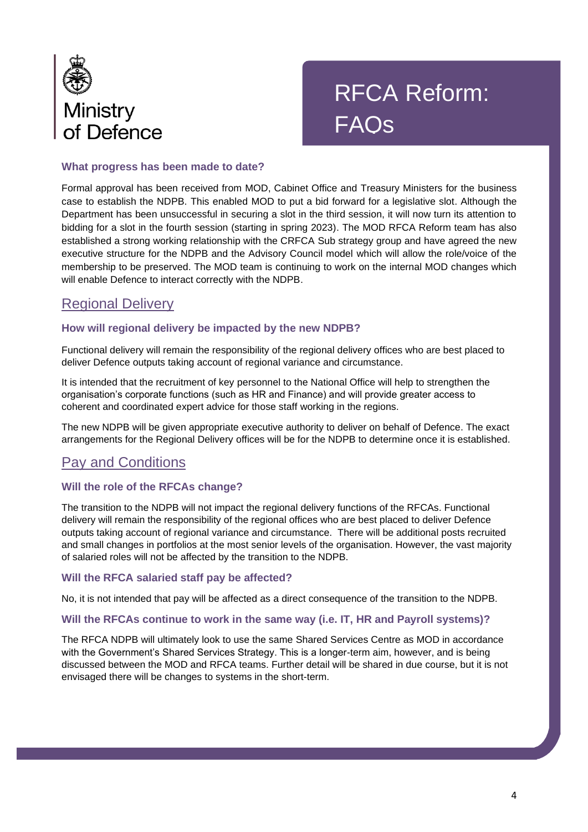

## RFCA Reform: FAQs

#### **What progress has been made to date?**

Formal approval has been received from MOD, Cabinet Office and Treasury Ministers for the business case to establish the NDPB. This enabled MOD to put a bid forward for a legislative slot. Although the Department has been unsuccessful in securing a slot in the third session, it will now turn its attention to bidding for a slot in the fourth session (starting in spring 2023). The MOD RFCA Reform team has also established a strong working relationship with the CRFCA Sub strategy group and have agreed the new executive structure for the NDPB and the Advisory Council model which will allow the role/voice of the membership to be preserved. The MOD team is continuing to work on the internal MOD changes which will enable Defence to interact correctly with the NDPB.

## Regional Delivery

#### **How will regional delivery be impacted by the new NDPB?**

Functional delivery will remain the responsibility of the regional delivery offices who are best placed to deliver Defence outputs taking account of regional variance and circumstance.

It is intended that the recruitment of key personnel to the National Office will help to strengthen the organisation's corporate functions (such as HR and Finance) and will provide greater access to coherent and coordinated expert advice for those staff working in the regions.

The new NDPB will be given appropriate executive authority to deliver on behalf of Defence. The exact arrangements for the Regional Delivery offices will be for the NDPB to determine once it is established.

## Pay and Conditions

#### **Will the role of the RFCAs change?**

The transition to the NDPB will not impact the regional delivery functions of the RFCAs. Functional delivery will remain the responsibility of the regional offices who are best placed to deliver Defence outputs taking account of regional variance and circumstance. There will be additional posts recruited and small changes in portfolios at the most senior levels of the organisation. However, the vast majority of salaried roles will not be affected by the transition to the NDPB.

#### **Will the RFCA salaried staff pay be affected?**

No, it is not intended that pay will be affected as a direct consequence of the transition to the NDPB.

#### **Will the RFCAs continue to work in the same way (i.e. IT, HR and Payroll systems)?**

The RFCA NDPB will ultimately look to use the same Shared Services Centre as MOD in accordance with the Government's Shared Services Strategy. This is a longer-term aim, however, and is being discussed between the MOD and RFCA teams. Further detail will be shared in due course, but it is not envisaged there will be changes to systems in the short-term.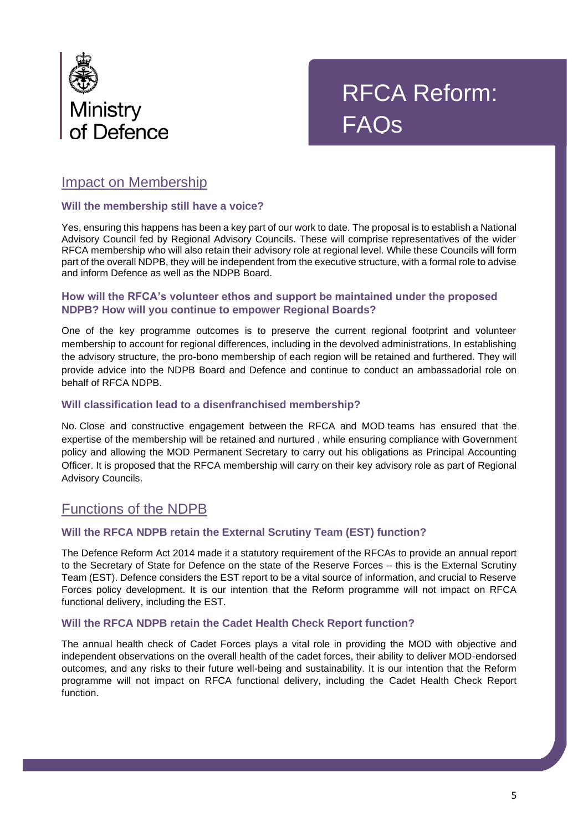



## Impact on Membership

#### **Will the membership still have a voice?**

Yes, ensuring this happens has been a key part of our work to date. The proposal is to establish a National Advisory Council fed by Regional Advisory Councils. These will comprise representatives of the wider RFCA membership who will also retain their advisory role at regional level. While these Councils will form part of the overall NDPB, they will be independent from the executive structure, with a formal role to advise and inform Defence as well as the NDPB Board.

#### **How will the RFCA's volunteer ethos and support be maintained under the proposed NDPB? How will you continue to empower Regional Boards?**

One of the key programme outcomes is to preserve the current regional footprint and volunteer membership to account for regional differences, including in the devolved administrations. In establishing the advisory structure, the pro-bono membership of each region will be retained and furthered. They will provide advice into the NDPB Board and Defence and continue to conduct an ambassadorial role on behalf of RFCA NDPB.

#### **Will classification lead to a disenfranchised membership?**

No. Close and constructive engagement between the RFCA and MOD teams has ensured that the expertise of the membership will be retained and nurtured , while ensuring compliance with Government policy and allowing the MOD Permanent Secretary to carry out his obligations as Principal Accounting Officer. It is proposed that the RFCA membership will carry on their key advisory role as part of Regional Advisory Councils.

## Functions of the NDPB

#### **Will the RFCA NDPB retain the External Scrutiny Team (EST) function?**

The Defence Reform Act 2014 made it a statutory requirement of the RFCAs to provide an annual report to the Secretary of State for Defence on the state of the Reserve Forces – this is the External Scrutiny Team (EST). Defence considers the EST report to be a vital source of information, and crucial to Reserve Forces policy development. It is our intention that the Reform programme will not impact on RFCA functional delivery, including the EST.

#### **Will the RFCA NDPB retain the Cadet Health Check Report function?**

The annual health check of Cadet Forces plays a vital role in providing the MOD with objective and independent observations on the overall health of the cadet forces, their ability to deliver MOD-endorsed outcomes, and any risks to their future well-being and sustainability. It is our intention that the Reform programme will not impact on RFCA functional delivery, including the Cadet Health Check Report function.